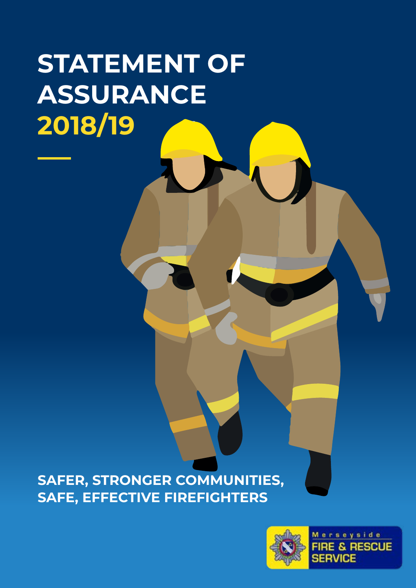# **STATEMENT OF ASSURANCE 2018/19**

**SAFER, STRONGER COMMUNITIES, SAFE, EFFECTIVE FIREFIGHTERS**



**Merseyside FIRE & RESCUE SERVICE**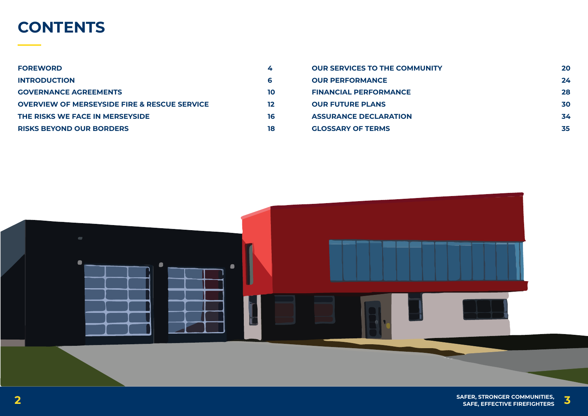**SAFER, STRONGER COMMUNITIES, 2 SAFE, EFFECTIVE FIREFIGHTERS 3**



## **CONTENTS**

| <b>FOREWORD</b>                                         | 4  |
|---------------------------------------------------------|----|
| <b>INTRODUCTION</b>                                     | 6  |
| <b>GOVERNANCE AGREEMENTS</b>                            | 10 |
| <b>OVERVIEW OF MERSEYSIDE FIRE &amp; RESCUE SERVICE</b> | 12 |
| THE RISKS WE FACE IN MERSEYSIDE                         | 16 |
| <b>RISKS BEYOND OUR BORDERS</b>                         | 18 |

- **OUR SERVICES TO THE COMMUNITY**
- **OUR PERFORMANCE**
- **FINANCIAL PERFORMANCE**
	- **OUR FUTURE PLANS**
	- **ASSURANCE DECLARATION**
	- **GLOSSARY OF TERMS**

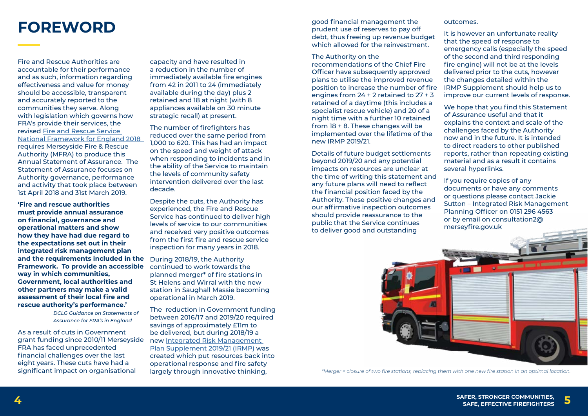**SAFER, STRONGER COMMUNITIES, 4 SAFE, EFFECTIVE FIREFIGHTERS 5**



Fire and Rescue Authorities are accountable for their performance and as such, information regarding effectiveness and value for money should be accessible, transparent and accurately reported to the communities they serve. Along with legislation which governs how FRA's provide their services, the revised [Fire and Rescue Service](https://www.gov.uk/government/publications/fire-and-rescue-national-framework-for-england--2)  [National Framework for England 2018](https://www.gov.uk/government/publications/fire-and-rescue-national-framework-for-england--2)  requires Merseyside Fire & Rescue Authority (MFRA) to produce this Annual Statement of Assurance. The Statement of Assurance focuses on Authority governance, performance and activity that took place between 1st April 2018 and 31st March 2019.

**'Fire and rescue authorities must provide annual assurance on financial, governance and operational matters and show how they have had due regard to the expectations set out in their integrated risk management plan and the requirements included in the Framework. To provide an accessible way in which communities, Government, local authorities and other partners may make a valid assessment of their local fire and rescue authority's performance.'**

> *DCLG Guidance on Statements of Assurance for FRA's in England*

As a result of cuts in Government grant funding since 2010/11 Merseyside FRA has faced unprecedented financial challenges over the last eight years. These cuts have had a significant impact on organisational

**FOREWORD** good financial management the good financial management the prudent use of reserves to pay off prudent use of reserves to pay off debt, thus freeing up revenue budget which allowed for the reinvestment.

> capacity and have resulted in a reduction in the number of immediately available fire engines from 42 in 2011 to 24 (immediately available during the day) plus 2 retained and 18 at night (with 8 appliances available on 30 minute strategic recall) at present.

The number of firefighters has reduced over the same period from 1,000 to 620. This has had an impact on the speed and weight of attack when responding to incidents and in the ability of the Service to maintain the levels of community safety intervention delivered over the last decade.

Despite the cuts, the Authority has experienced, the Fire and Rescue Service has continued to deliver high levels of service to our communities and received very positive outcomes from the first fire and rescue service inspection for many years in 2018.

During 2018/19, the Authority continued to work towards the planned merger\* of fire stations in St Helens and Wirral with the new station in Saughall Massie becoming operational in March 2019.

The reduction in Government funding between 2016/17 and 2019/20 required savings of approximately £11m to be delivered, but during 2018/19 a new [Integrated Risk Management](http://www.merseyfire.gov.uk/aspx/pages/IRMP/pdf/IRMP_17_20_SUPPLEMENT_19_21.pdf)  [Plan Supplement 2019/21 \(IRMP\)](http://www.merseyfire.gov.uk/aspx/pages/IRMP/pdf/IRMP_17_20_SUPPLEMENT_19_21.pdf) was created which put resources back into operational response and fire safety largely through innovative thinking,

The Authority on the

recommendations of the Chief Fire Officer have subsequently approved plans to utilise the improved revenue position to increase the number of fire engines from 24 + 2 retained to 27 + 3 retained of a daytime (this includes a specialist rescue vehicle) and 20 of a night time with a further 10 retained from 18 + 8. These changes will be implemented over the lifetime of the new IRMP 2019/21.

Details of future budget settlements beyond 2019/20 and any potential impacts on resources are unclear at the time of writing this statement and any future plans will need to reflect the financial position faced by the Authority. These positive changes and our affirmative inspection outcomes should provide reassurance to the public that the Service continues to deliver good and outstanding



#### outcomes.

It is however an unfortunate reality that the speed of response to emergency calls (especially the speed of the second and third responding fire engine) will not be at the levels delivered prior to the cuts, however the changes detailed within the IRMP Supplement should help us to improve our current levels of response.

We hope that you find this Statement of Assurance useful and that it explains the context and scale of the challenges faced by the Authority now and in the future. It is intended to direct readers to other published reports, rather than repeating existing material and as a result it contains several hyperlinks.

If you require copies of any documents or have any comments or questions please contact Jackie Sutton – Integrated Risk Management Planning Officer on 0151 296 4563 or by email on consultation2@ merseyfire.gov.uk

*\*Merger = closure of two fire stations, replacing them with one new fire station in an optimal location.*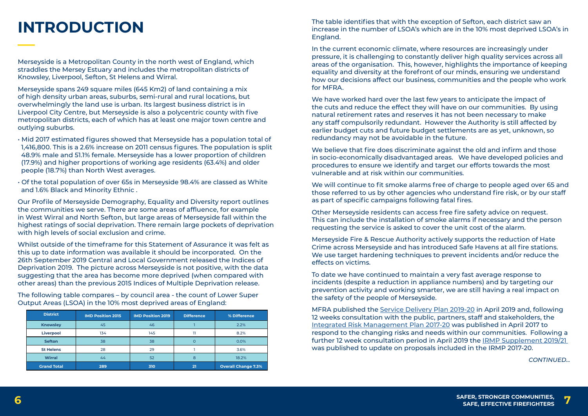**SAFER, STRONGER COMMUNITIES, 6 SAFE, EFFECTIVE FIREFIGHTERS 7**



Merseyside is a Metropolitan County in the north west of England, which straddles the Mersey Estuary and includes the metropolitan districts of Knowsley, Liverpool, Sefton, St Helens and Wirral.

Merseyside spans 249 square miles (645 Km2) of land containing a mix of high density urban areas, suburbs, semi-rural and rural locations, but overwhelmingly the land use is urban. Its largest business district is in Liverpool City Centre, but Merseyside is also a polycentric county with five metropolitan districts, each of which has at least one major town centre and outlying suburbs.

- Mid 2017 estimated figures showed that Merseyside has a population total of 1,416,800. This is a 2.6% increase on 2011 census figures. The population is split 48.9% male and 51.1% female. Merseyside has a lower proportion of children (17.9%) and higher proportions of working age residents (63.4%) and older people (18.7%) than North West averages.
- Of the total population of over 65s in Merseyside 98.4% are classed as White and 1.6% Black and Minority Ethnic .

Our Profile of Merseyside Demography, Equality and Diversity report outlines the communities we serve. There are some areas of affluence, for example in West Wirral and North Sefton, but large areas of Merseyside fall within the highest ratings of social deprivation. There remain large pockets of deprivation with high levels of social exclusion and crime.

Whilst outside of the timeframe for this Statement of Assurance it was felt as this up to date information was available it should be incorporated. On the 26th September 2019 Central and Local Government released the Indices of Deprivation 2019. The picture across Merseyside is not positive, with the data suggesting that the area has become more deprived (when compared with other areas) than the previous 2015 Indices of Multiple Deprivation release.

The following table compares – by council area - the count of Lower Super Output Areas (LSOA) in the 10% most deprived areas of England:

# **INTRODUCTION**

| <b>District</b>    | <b>IMD Position 2015</b> | <b>IMD Position 2019</b> | <b>Difference</b> | % Difference               |
|--------------------|--------------------------|--------------------------|-------------------|----------------------------|
| <b>Knowsley</b>    | 45                       | 46                       |                   | 2.2%                       |
| <b>Liverpool</b>   | 134                      | 145                      |                   | 8.2%                       |
| <b>Sefton</b>      | 38                       | 38                       |                   | 0.0%                       |
| <b>St Helens</b>   | 28                       | 29                       |                   | 3.6%                       |
| <b>Wirral</b>      | 44                       | 52                       | 8                 | 18.2%                      |
| <b>Grand Total</b> | 289                      | 310                      | 21                | <b>Overall Change 7.3%</b> |

The table identifies that with the exception of Sefton, each district saw an increase in the number of LSOA's which are in the 10% most deprived LSOA's in England.

In the current economic climate, where resources are increasingly under pressure, it is challenging to constantly deliver high quality services across all areas of the organisation. This, however, highlights the importance of keeping equality and diversity at the forefront of our minds, ensuring we understand how our decisions affect our business, communities and the people who work for MFRA.

We have worked hard over the last few years to anticipate the impact of the cuts and reduce the effect they will have on our communities. By using natural retirement rates and reserves it has not been necessary to make any staff compulsorily redundant. However the Authority is still affected by earlier budget cuts and future budget settlements are as yet, unknown, so redundancy may not be avoidable in the future.

We believe that fire does discriminate against the old and infirm and those in socio-economically disadvantaged areas. We have developed policies and procedures to ensure we identify and target our efforts towards the most vulnerable and at risk within our communities.

We will continue to fit smoke alarms free of charge to people aged over 65 and those referred to us by other agencies who understand fire risk, or by our staff as part of specific campaigns following fatal fires.

Other Merseyside residents can access free fire safety advice on request. This can include the installation of smoke alarms if necessary and the person requesting the service is asked to cover the unit cost of the alarm.

Merseyside Fire & Rescue Authority actively supports the reduction of Hate Crime across Merseyside and has introduced Safe Havens at all fire stations. We use target hardening techniques to prevent incidents and/or reduce the effects on victims.

To date we have continued to maintain a very fast average response to incidents (despite a reduction in appliance numbers) and by targeting our prevention activity and working smarter, we are still having a real impact on the safety of the people of Merseyside.

MFRA published the [Service Delivery Plan 2019-20](http://www.merseyfire.gov.uk/aspx/pages/service_delivery/pdf/Service_Delivery_Plan_2019-20.pdf) in April 2019 and, following 12 weeks consultation with the public, partners, staff and stakeholders, the [Integrated Risk Management Plan 2017-20](http://www.merseyfire.gov.uk/aspx/pages/IRMP/IRMP2017-20/IRMP2017.html) was published in April 2017 to respond to the changing risks and needs within our communities. Following a further 12 week consultation period in April 2019 the [IRMP Supplement 2019/21](http://www.merseyfire.gov.uk/aspx/pages/IRMP/pdf/IRMP_17_20_SUPPLEMENT_19_21.pdf)  was published to update on proposals included in the IRMP 2017-20.

#### *CONTINUED...*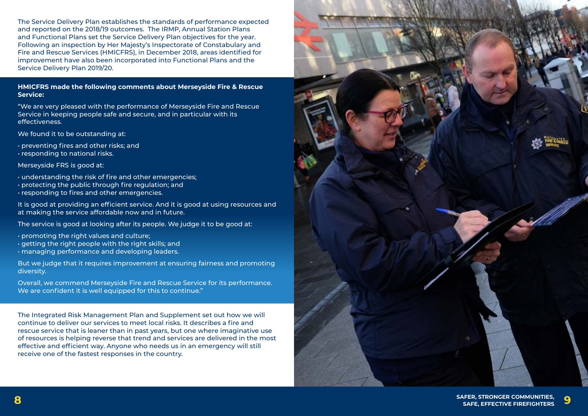



The Service Delivery Plan establishes the standards of performance expected and reported on the 2018/19 outcomes. The IRMP, Annual Station Plans and Functional Plans set the Service Delivery Plan objectives for the year. Following an inspection by Her Majesty's Inspectorate of Constabulary and Fire and Rescue Services (HMICFRS), in December 2018, areas identified for improvement have also been incorporated into Functional Plans and the Service Delivery Plan 2019/20.

**HMICFRS made the following comments about Merseyside Fire & Rescue Service:**

"We are very pleased with the performance of Merseyside Fire and Rescue Service in keeping people safe and secure, and in particular with its effectiveness.

We found it to be outstanding at:

- preventing fires and other risks; and
- responding to national risks.

Merseyside FRS is good at:

- understanding the risk of fire and other emergencies;
- protecting the public through fire regulation; and
- responding to fires and other emergencies.

It is good at providing an efficient service. And it is good at using resources and at making the service affordable now and in future.

The service is good at looking after its people. We judge it to be good at:

- promoting the right values and culture;
- getting the right people with the right skills; and
- managing performance and developing leaders.

But we judge that it requires improvement at ensuring fairness and promoting diversity.

Overall, we commend Merseyside Fire and Rescue Service for its performance. We are confident it is well equipped for this to continue."

The Integrated Risk Management Plan and Supplement set out how we will continue to deliver our services to meet local risks. It describes a fire and rescue service that is leaner than in past years, but one where imaginative use of resources is helping reverse that trend and services are delivered in the most effective and efficient way. Anyone who needs us in an emergency will still receive one of the fastest responses in the country.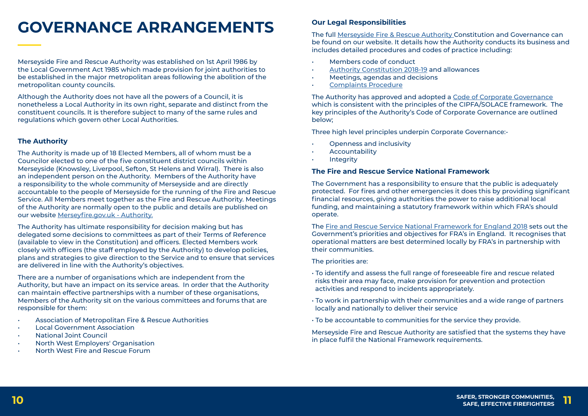# **GOVERNANCE ARRANGEMENTS Our Legal Responsibilities**

The full [Merseyside Fire & Rescue Authority](http://www.merseyfire.gov.uk/aspx/pages/fire_auth/authorityContent.aspx) Constitution and Governance can be found on our website. It details how the Authority conducts its business and includes detailed procedures and codes of practice including:

- Openness and inclusivity
- **Accountability**
- **Integrity**
- Members code of conduct
- [Authority Constitution 2018-19](http://www.merseyfire.gov.uk/aspx/pages/fire_auth/authorityContent.aspx) and allowances
- Meetings, agendas and decisions
- [Complaints Procedure](http://www.merseyfire.gov.uk/aspx/pages/complaints/authority_complaint_guide.aspx)

The Authority has approved and adopted a [Code of Corporate Governance](http://www.merseyfire.gov.uk/aspx/pages/fire_auth/authorityContent.aspx) which is consistent with the principles of the CIPFA/SOLACE framework. The key principles of the Authority's Code of Corporate Governance are outlined below;

Three high level principles underpin Corporate Governance:-

### **The Fire and Rescue Service National Framework**

The Government has a responsibility to ensure that the public is adequately protected. For fires and other emergencies it does this by providing significant financial resources, giving authorities the power to raise additional local funding, and maintaining a statutory framework within which FRA's should operate.

The [Fire and Rescue Service National Framework for England 2018](https://www.gov.uk/government/publications/fire-and-rescue-national-framework-for-england--2) sets out the Government's priorities and objectives for FRA's in England. It recognises that operational matters are best determined locally by FRA's in partnership with their communities.

The priorities are:

- To identify and assess the full range of foreseeable fire and rescue related risks their area may face, make provision for prevention and protection activities and respond to incidents appropriately.
- To work in partnership with their communities and a wide range of partners locally and nationally to deliver their service
- To be accountable to communities for the service they provide.

Merseyside Fire and Rescue Authority are satisfied that the systems they have in place fulfil the National Framework requirements.

Merseyside Fire and Rescue Authority was established on 1st April 1986 by the Local Government Act 1985 which made provision for joint authorities to be established in the major metropolitan areas following the abolition of the metropolitan county councils.

Although the Authority does not have all the powers of a Council, it is nonetheless a Local Authority in its own right, separate and distinct from the constituent councils. It is therefore subject to many of the same rules and regulations which govern other Local Authorities.

### **The Authority**

The Authority is made up of 18 Elected Members, all of whom must be a Councilor elected to one of the five constituent district councils within Merseyside (Knowsley, Liverpool, Sefton, St Helens and Wirral). There is also an independent person on the Authority. Members of the Authority have a responsibility to the whole community of Merseyside and are directly accountable to the people of Merseyside for the running of the Fire and Rescue Service. All Members meet together as the Fire and Rescue Authority. Meetings of the Authority are normally open to the public and details are published on our website [Merseyfire.gov.uk - Authority.](http://www.merseyfire.gov.uk/aspx/pages/fire_auth/authorityContent.aspx)

The Authority has ultimate responsibility for decision making but has delegated some decisions to committees as part of their Terms of Reference (available to view in the Constitution) and officers. Elected Members work closely with officers (the staff employed by the Authority) to develop policies, plans and strategies to give direction to the Service and to ensure that services are delivered in line with the Authority's objectives.

There are a number of organisations which are independent from the Authority, but have an impact on its service areas. In order that the Authority can maintain effective partnerships with a number of these organisations, Members of the Authority sit on the various committees and forums that are responsible for them:

- Association of Metropolitan Fire & Rescue Authorities
- Local Government Association
- National Joint Council
- North West Employers' Organisation
- North West Fire and Rescue Forum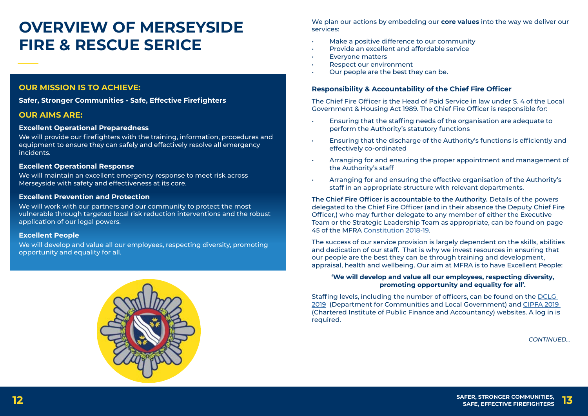**SAFER, STRONGER COMMUNITIES, 12 SAFE, EFFECTIVE FIREFIGHTERS 13**

## **OVERVIEW OF MERSEYSIDE FIRE & RESCUE SERICE**

We plan our actions by embedding our **core values** into the way we deliver our services:

- Make a positive difference to our community
- Provide an excellent and affordable service
- Everyone matters
- Respect our environment
- Our people are the best they can be.

### **Responsibility & Accountability of the Chief Fire Officer**

The Chief Fire Officer is the Head of Paid Service in law under S. 4 of the Local Government & Housing Act 1989. The Chief Fire Officer is responsible for:

• Ensuring that the discharge of the Authority's functions is efficiently and

- Ensuring that the staffing needs of the organisation are adequate to perform the Authority's statutory functions
- effectively co-ordinated
- the Authority's staff
- Arranging for and ensuring the effective organisation of the Authority's staff in an appropriate structure with relevant departments.

• Arranging for and ensuring the proper appointment and management of

**The Chief Fire Officer is accountable to the Authority.** Details of the powers delegated to the Chief Fire Officer (and in their absence the Deputy Chief Fire Officer,) who may further delegate to any member of either the Executive Team or the Strategic Leadership Team as appropriate, can be found on page 45 of the MFRA [Constitution 2018-19](http://www.merseyfire.gov.uk/aspx/pages/fire_auth/authorityContent.aspx).

The success of our service provision is largely dependent on the skills, abilities and dedication of our staff. That is why we invest resources in ensuring that our people are the best they can be through training and development, appraisal, health and wellbeing. Our aim at MFRA is to have Excellent People:

#### **'We will develop and value all our employees, respecting diversity, promoting opportunity and equality for all'.**

Staffing levels, including the number of officers, can be found on the [DCLG](https://www.gov.uk/government/collections/fire-statistics-monitor)  [2019](https://www.gov.uk/government/collections/fire-statistics-monitor) (Department for Communities and Local Government) and [CIPFA 2019](https://www.cipfastats.net/publicprotection/fire/default.asp?view=commentary&year=2017&content_ref=23002)  (Chartered Institute of Public Finance and Accountancy) websites. A log in is required.

### **OUR MISSION IS TO ACHIEVE:**

**Safer, Stronger Communities - Safe, Effective Firefighters**

#### **OUR AIMS ARE:**

#### **Excellent Operational Preparedness**

We will provide our firefighters with the training, information, procedures and equipment to ensure they can safely and effectively resolve all emergency incidents.

#### **Excellent Operational Response**

We will maintain an excellent emergency response to meet risk across Merseyside with safety and effectiveness at its core.

#### **Excellent Prevention and Protection**

We will work with our partners and our community to protect the most vulnerable through targeted local risk reduction interventions and the robust application of our legal powers.

#### **Excellent People**

We will develop and value all our employees, respecting diversity, promoting opportunity and equality for all.



*CONTINUED...*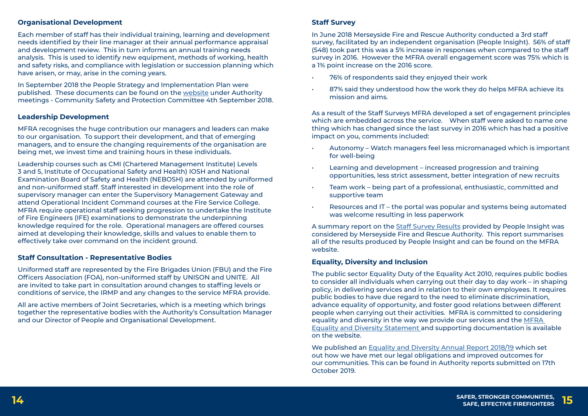**SAFER, STRONGER COMMUNITIES, 14 SAFE, EFFECTIVE FIREFIGHTERS 15**

#### **Organisational Development**

Each member of staff has their individual training, learning and development needs identified by their line manager at their annual performance appraisal and development review. This in turn informs an annual training needs analysis. This is used to identify new equipment, methods of working, health and safety risks, and compliance with legislation or succession planning which have arisen, or may, arise in the coming years.

In September 2018 the People Strategy and Implementation Plan were published. These documents can be found on the [website](http://www.merseyfire.gov.uk/aspx/pages/fire_auth/authorityContent.aspx) under Authority meetings - Community Safety and Protection Committee 4th September 2018.

#### **Leadership Development**

MFRA recognises the huge contribution our managers and leaders can make to our organisation. To support their development, and that of emerging managers, and to ensure the changing requirements of the organisation are being met, we invest time and training hours in these individuals.

Leadership courses such as CMI (Chartered Management Institute) Levels 3 and 5, Institute of Occupational Safety and Health) IOSH and National Examination Board of Safety and Health (NEBOSH) are attended by uniformed and non-uniformed staff. Staff interested in development into the role of supervisory manager can enter the Supervisory Management Gateway and attend Operational Incident Command courses at the Fire Service College. MFRA require operational staff seeking progression to undertake the Institute of Fire Engineers (IFE) examinations to demonstrate the underpinning knowledge required for the role. Operational managers are offered courses aimed at developing their knowledge, skills and values to enable them to effectively take over command on the incident ground.

- 76% of respondents said they enjoyed their work
- mission and aims.

#### **Staff Consultation - Representative Bodies**

Uniformed staff are represented by the Fire Brigades Union (FBU) and the Fire Officers Association (FOA), non-uniformed staff by UNISON and UNITE. All are invited to take part in consultation around changes to staffing levels or conditions of service, the IRMP and any changes to the service MFRA provide.

All are active members of Joint Secretaries, which is a meeting which brings together the representative bodies with the Authority's Consultation Manager and our Director of People and Organisational Development.

#### **Staff Survey**

In June 2018 Merseyside Fire and Rescue Authority conducted a 3rd staff survey, facilitated by an independent organisation (People Insight). 56% of staff (548) took part this was a 5% increase in responses when compared to the staff survey in 2016. However the MFRA overall engagement score was 75% which is a 1% point increase on the 2016 score.

As a result of the Staff Surveys MFRA developed a set of engagement principles which are embedded across the service. When staff were asked to name one thing which has changed since the last survey in 2016 which has had a positive impact on you, comments included:

• Autonomy – Watch managers feel less micromanaged which is important

- for well-being
- Learning and development increased progression and training opportunities, less strict assessment, better integration of new recruits
- Team work being part of a professional, enthusiastic, committed and supportive team
- was welcome resulting in less paperwork

• Resources and IT – the portal was popular and systems being automated

A summary report on the [Staff Survey Results](http://www.merseyfire.gov.uk/aspx/pages/Corporate/staffSurveyResults.aspx) provided by People Insight was considered by Merseyside Fire and Rescue Authority. This report summarises all of the results produced by People Insight and can be found on the MFRA website.

#### **Equality, Diversity and Inclusion**

The public sector Equality Duty of the Equality Act 2010, requires public bodies to consider all individuals when carrying out their day to day work – in shaping policy, in delivering services and in relation to their own employees. It requires public bodies to have due regard to the need to eliminate discrimination, advance equality of opportunity, and foster good relations between different people when carrying out their activities. MFRA is committed to considering equality and diversity in the way we provide our services and the [MFRA](http://www.merseyfire.gov.uk/aspx/pages/equality/equalityDiversity.aspx)  [Equality and Diversity Statement](http://www.merseyfire.gov.uk/aspx/pages/equality/equalityDiversity.aspx) and supporting documentation is available on the website.

We published an [Equality and Diversity Annual Report 2018/19](http://www.merseyfire.gov.uk/aspx/pages/fire_auth/authorityContent.aspx) which set out how we have met our legal obligations and improved outcomes for our communities. This can be found in Authority reports submitted on 17th October 2019.

87% said they understood how the work they do helps MFRA achieve its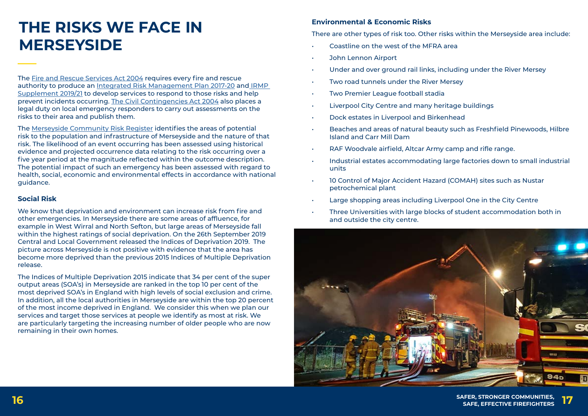**SAFER, STRONGER COMMUNITIES, 16 SAFE, EFFECTIVE FIREFIGHTERS 17**

## **THE RISKS WE FACE IN MERSEYSIDE**

The [Fire and Rescue Services Act 2004](http://www.legislation.gov.uk/ukpga/2004/21/contents) requires every fire and rescue authority to produce an [Integrated Risk Management Plan 2017-20](http://www.merseyfire.gov.uk/aspx/pages/IRMP/IRMP2017-20/IRMP2017.html) and [IRMP](http://www.merseyfire.gov.uk/aspx/pages/IRMP/pdf/IRMP_17_20_SUPPLEMENT_19_21.pdf)  [Supplement 2019/21](http://www.merseyfire.gov.uk/aspx/pages/IRMP/pdf/IRMP_17_20_SUPPLEMENT_19_21.pdf) to develop services to respond to those risks and help prevent incidents occurring. [The Civil Contingencies Act 2004](http://www.legislation.gov.uk/ukpga/2004/36/contents) also places a legal duty on local emergency responders to carry out assessments on the risks to their area and publish them.

The [Merseyside Community Risk Register](http://merseysideprepared.org.uk/1083.aspx) identifies the areas of potential risk to the population and infrastructure of Merseyside and the nature of that risk. The likelihood of an event occurring has been assessed using historical evidence and projected occurrence data relating to the risk occurring over a five year period at the magnitude reflected within the outcome description. The potential impact of such an emergency has been assessed with regard to health, social, economic and environmental effects in accordance with national guidance.

#### **Social Risk**

We know that deprivation and environment can increase risk from fire and other emergencies. In Merseyside there are some areas of affluence, for example in West Wirral and North Sefton, but large areas of Merseyside fall within the highest ratings of social deprivation. On the 26th September 2019 Central and Local Government released the Indices of Deprivation 2019. The picture across Merseyside is not positive with evidence that the area has become more deprived than the previous 2015 Indices of Multiple Deprivation release.

The Indices of Multiple Deprivation 2015 indicate that 34 per cent of the super output areas (SOA's) in Merseyside are ranked in the top 10 per cent of the most deprived SOA's in England with high levels of social exclusion and crime. In addition, all the local authorities in Merseyside are within the top 20 percent of the most income deprived in England. We consider this when we plan our services and target those services at people we identify as most at risk. We are particularly targeting the increasing number of older people who are now remaining in their own homes.

### **Environmental & Economic Risks**

There are other types of risk too. Other risks within the Merseyside area include: • Coastline on the west of the MFRA area

• Beaches and areas of natural beauty such as Freshfield Pinewoods, Hilbre

- 
- John Lennon Airport
- Under and over ground rail links, including under the River Mersey
- Two road tunnels under the River Mersey
- Two Premier League football stadia
- Liverpool City Centre and many heritage buildings
- Dock estates in Liverpool and Birkenhead
- Island and Carr Mill Dam
- RAF Woodvale airfield, Altcar Army camp and rifle range.
- units
- 10 Control of Major Accident Hazard (COMAH) sites such as Nustar petrochemical plant
- Large shopping areas including Liverpool One in the City Centre
- Three Universities with large blocks of student accommodation both in and outside the city centre.



• Industrial estates accommodating large factories down to small industrial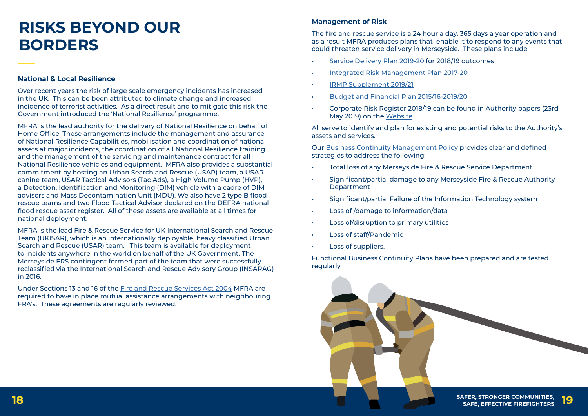



## **RISKS BEYOND OUR BORDERS**

#### **National & Local Resilience**

Over recent years the risk of large scale emergency incidents has increased in the UK. This can be been attributed to climate change and increased incidence of terrorist activities. As a direct result and to mitigate this risk the Government introduced the 'National Resilience' programme.

MFRA is the lead authority for the delivery of National Resilience on behalf of Home Office. These arrangements include the management and assurance of National Resilience Capabilities, mobilisation and coordination of national assets at major incidents, the coordination of all National Resilience training and the management of the servicing and maintenance contract for all National Resilience vehicles and equipment. MFRA also provides a substantial commitment by hosting an Urban Search and Rescue (USAR) team, a USAR canine team, USAR Tactical Advisors (Tac Ads), a High Volume Pump (HVP), a Detection, Identification and Monitoring (DIM) vehicle with a cadre of DIM advisors and Mass Decontamination Unit (MDU). We also have 2 type B flood rescue teams and two Flood Tactical Advisor declared on the DEFRA national flood rescue asset register. All of these assets are available at all times for national deployment.

- Total loss of any Merseyside Fire & Rescue Service Department
- Significant/partial damage to any Merseyside Fire & Rescue Authority **Department**
- Significant/partial Failure of the Information Technology system
- Loss of /damage to information/data
- Loss of/disruption to primary utilities
- Loss of staff/Pandemic
- Loss of suppliers.

MFRA is the lead Fire & Rescue Service for UK International Search and Rescue Team (UKISAR), which is an internationally deployable, heavy classified Urban Search and Rescue (USAR) team. This team is available for deployment to incidents anywhere in the world on behalf of the UK Government. The Merseyside FRS contingent formed part of the team that were successfully reclassified via the International Search and Rescue Advisory Group (INSARAG) in 2016.

Under Sections 13 and 16 of the [Fire and Rescue Services Act 2004](http://www.legislation.gov.uk/ukpga/2004/21/contents) MFRA are required to have in place mutual assistance arrangements with neighbouring FRA's. These agreements are regularly reviewed.

#### **Management of Risk**

The fire and rescue service is a 24 hour a day, 365 days a year operation and as a result MFRA produces plans that enable it to respond to any events that could threaten service delivery in Merseyside. These plans include:

- [Service Delivery Plan 2019-20](http://www.merseyfire.gov.uk/aspx/pages/service_delivery/pdf/Service_Delivery_Plan_2019-20.pdf) for 2018/19 outcomes
- [Integrated Risk Management Plan 2017-20](http://www.merseyfire.gov.uk/aspx/pages/IRMP/IRMP2017-20/IRMP2017.html)
- [IRMP Supplement 2019/21](http://www.merseyfire.gov.uk/aspx/pages/IRMP/pdf/IRMP_17_20_SUPPLEMENT_19_21.pdf)
- [Budget and Financial Plan 2015/16-2019/20](http://www.merseyfire.gov.uk/aspx/pages/fire_auth/authorityContent.aspx)
- Corporate Risk Register 2018/19 can be found in Authority papers (23rd May 2019) on the [Website](http://www.merseyfire.gov.uk/aspx/pages/fire_auth/authorityContent.aspx)

All serve to identify and plan for existing and potential risks to the Authority's assets and services.

Our [Business Continuity Management Policy](http://www.merseyfire.gov.uk/aspx/pages/business_continuity/businessContinuity.aspx) provides clear and defined strategies to address the following:

Functional Business Continuity Plans have been prepared and are tested regularly.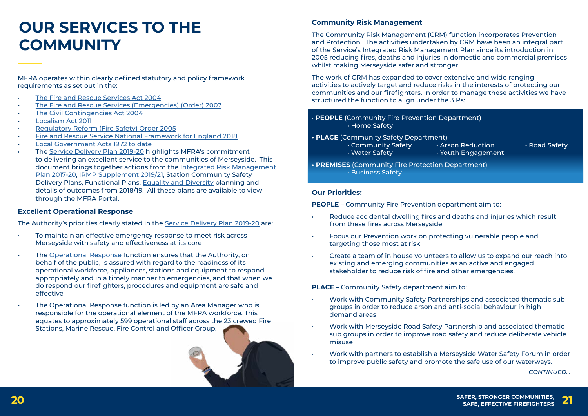**SAFER, STRONGER COMMUNITIES, 20 SAFE, EFFECTIVE FIREFIGHTERS 21**

## **OUR SERVICES TO THE COMMUNITY**

MFRA operates within clearly defined statutory and policy framework requirements as set out in the:

- [The Fire and Rescue Services Act 2004](http://www.legislation.gov.uk/ukpga/2004/21/contents)
- [The Fire and Rescue Services \(Emergencies\) \(Order\) 2007](http://www.legislation.gov.uk/uksi/2007/735/contents/made)
- [The Civil Contingencies Act 2004](http://www.legislation.gov.uk/ukpga/2004/36/contents)
- [Localism Act 2011](http://www.legislation.gov.uk/ukpga/2011/20/contents/enacted)
- [Regulatory Reform \(Fire Safety\) Order 2005](http://www.legislation.gov.uk/uksi/2005/1541/contents/made)
- [Fire and Rescue Service National Framework for England 2018](https://www.gov.uk/government/publications/fire-and-rescue-national-framework-for-england--2)
- [Local Government Acts 1972 to date](http://www.legislation.gov.uk/ukpga/1972/70/contents)
- The [Service Delivery Plan 2019-20](http://www.merseyfire.gov.uk/aspx/pages/service_delivery/pdf/Service_Delivery_Plan_2019-20.pdf) highlights MFRA's commitment to delivering an excellent service to the communities of Merseyside. This document brings together actions from the [Integrated Risk Management](http://www.merseyfire.gov.uk/aspx/pages/IRMP/IRMP2017-20/IRMP2017.html) [Plan 2017-20, IRMP Supplement 2019/21](http://www.merseyfire.gov.uk/aspx/pages/IRMP/IRMP2017-20/IRMP2017.html), Station Community Safety Delivery Plans, Functional Plans, [Equality and Diversity](http://www.merseyfire.gov.uk/aspx/pages/equality/equalityDiversity.aspx) planning and details of outcomes from 2018/19. All these plans are available to view through the MFRA Portal.

#### **Excellent Operational Response**

The Authority's priorities clearly stated in the [Service Delivery Plan 2019-20](http://www.merseyfire.gov.uk/aspx/pages/service_delivery/pdf/Service_Delivery_Plan_2019-20.pdf) are:

- To maintain an effective emergency response to meet risk across Merseyside with safety and effectiveness at its core
- The [Operational Response f](http://www.merseyfire.gov.uk/aspx/pages/opsResponse/opsResponse.aspx)unction ensures that the Authority, on behalf of the public, is assured with regard to the readiness of its operational workforce, appliances, stations and equipment to respond appropriately and in a timely manner to emergencies, and that when we do respond our firefighters, procedures and equipment are safe and effective
- The Operational Response function is led by an Area Manager who is responsible for the operational element of the MFRA workforce. This equates to approximately 599 operational staff across the 23 crewed Fire Stations, Marine Rescue, Fire Control and Officer Group.



- Reduce accidental dwelling fires and deaths and injuries which result from these fires across Merseyside
- Focus our Prevention work on protecting vulnerable people and targeting those most at risk
- Create a team of in house volunteers to allow us to expand our reach into existing and emerging communities as an active and engaged stakeholder to reduce risk of fire and other emergencies.

#### **Community Risk Management**

The Community Risk Management (CRM) function incorporates Prevention and Protection. The activities undertaken by CRM have been an integral part of the Service's Integrated Risk Management Plan since its introduction in 2005 reducing fires, deaths and injuries in domestic and commercial premises whilst making Merseyside safer and stronger.

The work of CRM has expanded to cover extensive and wide ranging activities to actively target and reduce risks in the interests of protecting our communities and our firefighters. In order to manage these activities we have structured the function to align under the 3 Ps:

- **PEOPLE** (Community Fire Prevention Department) • Home Safety
- **PLACE** (Community Safety Department) • Community Safety **• Arson Reduction** • **Road Safety** • Water Safety **•** *• Youth Engagement*
- **PREMISES** (Community Fire Protection Department) • Business Safety

#### **Our Priorities:**

**PEOPLE** – Community Fire Prevention department aim to:

**PLACE** – Community Safety department aim to:

• Work with Community Safety Partnerships and associated thematic sub

• Work with Merseyside Road Safety Partnership and associated thematic sub groups in order to improve road safety and reduce deliberate vehicle

- groups in order to reduce arson and anti-social behaviour in high demand areas
- misuse
- to improve public safety and promote the safe use of our waterways.

• Work with partners to establish a Merseyside Water Safety Forum in order

*CONTINUED...*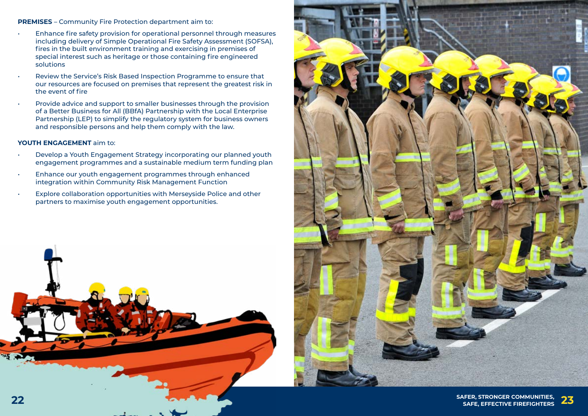





**PREMISES** – Community Fire Protection department aim to:

- Enhance fire safety provision for operational personnel through measures including delivery of Simple Operational Fire Safety Assessment (SOFSA), fires in the built environment training and exercising in premises of special interest such as heritage or those containing fire engineered solutions
- Review the Service's Risk Based Inspection Programme to ensure that our resources are focused on premises that represent the greatest risk in the event of fire
- Provide advice and support to smaller businesses through the provision of a Better Business for All (BBfA) Partnership with the Local Enterprise Partnership (LEP) to simplify the regulatory system for business owners and responsible persons and help them comply with the law.

#### **YOUTH ENGAGEMENT** aim to:

- Develop a Youth Engagement Strategy incorporating our planned youth engagement programmes and a sustainable medium term funding plan
- Enhance our youth engagement programmes through enhanced integration within Community Risk Management Function
- Explore collaboration opportunities with Merseyside Police and other partners to maximise youth engagement opportunities.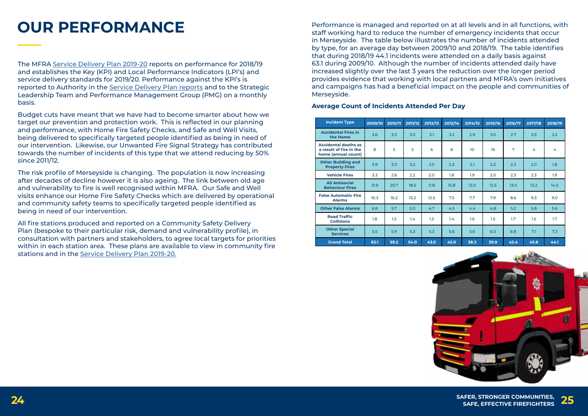

**SAFER, STRONGER COMMUNITIES, 24 SAFE, EFFECTIVE FIREFIGHTERS 25**



PERFORMANCE<br> **Performance is managed and reported on at all levels and in all functions, with** staff working hard to reduce the number of emergency incidents that occur in Merseyside. The table below illustrates the number of incidents attended by type, for an average day between 2009/10 and 2018/19. The table identifies that during 2018/19 44.1 incidents were attended on a daily basis against 63.1 during 2009/10. Although the number of incidents attended daily have increased slightly over the last 3 years the reduction over the longer period provides evidence that working with local partners and MFRA's own initiatives and campaigns has had a beneficial impact on the people and communities of Merseyside.

#### **Average Count of Incidents Attended Per Day**

| <b>Incident Type</b>                                                          | 2009/10 | 2010/11 | 2011/12 | 2012/13 | 2013/14 | 2014/15 | 2015/16 | 2016/17 | 2017/18 | 2018/19 |
|-------------------------------------------------------------------------------|---------|---------|---------|---------|---------|---------|---------|---------|---------|---------|
| <b>Accidental Fires in</b><br>the Home                                        | 3.6     | 3.3     | 3.3     | 3.1     | 3.2     | 2.9     | 3.0     | 2.7     | 2.5     | 2.5     |
| <b>Accidental deaths as</b><br>a result of fire in the<br>home (annual count) | 8       | 5       | 5       | 6       | 8       | 10      | 16      | 7       | 4       | 4       |
| <b>Other Building and</b><br><b>Property Fires</b>                            | 3.9     | 3.3     | 3.2     | 2.5     | 2.3     | 2.1     | 2.2     | 2.2     | 2.0     | 1.8     |
| <b>Vehicle Fires</b>                                                          | 3.3     | 2.6     | 2.2     | 2.0     | 1.8     | 1.9     | 2.0     | 2.3     | 2.3     | 1.9     |
| <b>All Antisocial</b><br><b>Behaviour Fires</b>                               | 21.9    | 20.7    | 18.5    | 11.8    | 15.8    | 12.0    | 12.5    | 13.0    | 13.2    | 14.5    |
| <b>False Automatic Fire</b><br><b>Alarms</b>                                  | 16.3    | 16.2    | 15.2    | 12.5    | 7.5     | 7.7     | 7.9     | 8.6     | 9.3     | 9.0     |
| <b>Other False Alarms</b>                                                     | 6.8     | 5.7     | 5.0     | 4.7     | 4.5     | 4.4     | 4.8     | 5.2     | 5.8     | 5.6     |
| <b>Road Traffic</b><br><b>Collisions</b>                                      | 1.8     | 1.5     | 1.4     | 1.3     | 1.4     | 1.6     | 1.5     | 1.7     | 1.5     | 1.7     |
| <b>Other Special</b><br><b>Services</b>                                       | 5.5     | 5.9     | 5.3     | 5.3     | 5.6     | 5.6     | 6.0     | 6.8     | 7.1     | 7.3     |
| <b>Grand Total</b>                                                            | 63.1    | 59.2    | 54.0    | 43.0    | 42.0    | 38.2    | 39.9    | 42.4    | 43.8    | 44.1    |

The MFRA [Service Delivery Plan 2019-20](http://www.merseyfire.gov.uk/aspx/pages/service_delivery/pdf/Service_Delivery_Plan_2019-20.pdf) reports on performance for 2018/19 and establishes the Key (KPI) and Local Performance Indicators (LPI's) and service delivery standards for 2019/20. Performance against the KPI's is reported to Authority in the [Service Delivery Plan reports](http://www.merseyfire.gov.uk/aspx/pages/service_delivery/service_plan.aspx) and to the Strategic Leadership Team and Performance Management Group (PMG) on a monthly basis.

Budget cuts have meant that we have had to become smarter about how we target our prevention and protection work. This is reflected in our planning and performance, with Home Fire Safety Checks, and Safe and Well Visits, being delivered to specifically targeted people identified as being in need of our intervention. Likewise, our Unwanted Fire Signal Strategy has contributed towards the number of incidents of this type that we attend reducing by 50% since 2011/12.

The risk profile of Merseyside is changing. The population is now increasing after decades of decline however it is also ageing. The link between old age and vulnerability to fire is well recognised within MFRA. Our Safe and Well visits enhance our Home Fire Safety Checks which are delivered by operational and community safety teams to specifically targeted people identified as being in need of our intervention.

All fire stations produced and reported on a Community Safety Delivery Plan (bespoke to their particular risk, demand and vulnerability profile), in consultation with partners and stakeholders, to agree local targets for priorities within in each station area. These plans are available to view in community fire stations and in the [Service Delivery Plan 2019-20.](http://www.merseyfire.gov.uk/aspx/pages/service_delivery/pdf/Service_Delivery_Plan_2019-20.pdf)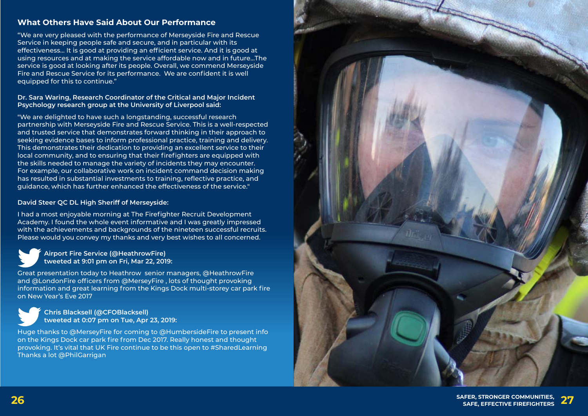**SAFER, STRONGER COMMUNITIES, 26 SAFE, EFFECTIVE FIREFIGHTERS 27**



## **What Others Have Said About Our Performance**

"We are very pleased with the performance of Merseyside Fire and Rescue Service in keeping people safe and secure, and in particular with its effectiveness… It is good at providing an efficient service. And it is good at using resources and at making the service affordable now and in future…The service is good at looking after its people. Overall, we commend Merseyside Fire and Rescue Service for its performance. We are confident it is well equipped for this to continue."

#### **Dr. Sara Waring, Research Coordinator of the Critical and Major Incident Psychology research group at the University of Liverpool said:**

"We are delighted to have such a longstanding, successful research partnership with Merseyside Fire and Rescue Service. This is a well-respected and trusted service that demonstrates forward thinking in their approach to seeking evidence bases to inform professional practice, training and delivery. This demonstrates their dedication to providing an excellent service to their local community, and to ensuring that their firefighters are equipped with the skills needed to manage the variety of incidents they may encounter. For example, our collaborative work on incident command decision making has resulted in substantial investments to training, reflective practice, and guidance, which has further enhanced the effectiveness of the service."

#### **David Steer QC DL High Sheriff of Merseyside:**

I had a most enjoyable morning at The Firefighter Recruit Development Academy. I found the whole event informative and I was greatly impressed with the achievements and backgrounds of the nineteen successful recruits. Please would you convey my thanks and very best wishes to all concerned.



Great presentation today to Heathrow senior managers, @HeathrowFire and @LondonFire officers from @MerseyFire , lots of thought provoking information and great learning from the Kings Dock multi-storey car park fire on New Year's Eve 2017



 **Chris Blacksell (@CFOBlacksell) tweeted at 0:07 pm on Tue, Apr 23, 2019:**

Huge thanks to @MerseyFire for coming to @HumbersideFire to present info on the Kings Dock car park fire from Dec 2017. Really honest and thought provoking. It's vital that UK Fire continue to be this open to #SharedLearning Thanks a lot @PhilGarrigan

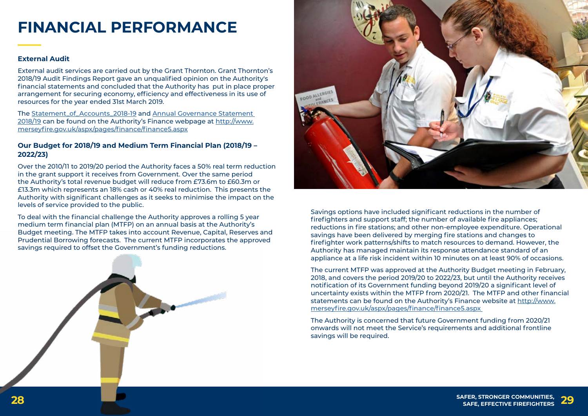



# **FINANCIAL PERFORMANCE**

#### **External Audit**

External audit services are carried out by the Grant Thornton. Grant Thornton's 2018/19 Audit Findings Report gave an unqualified opinion on the Authority's financial statements and concluded that the Authority has put in place proper arrangement for securing economy, efficiency and effectiveness in its use of resources for the year ended 31st March 2019.

The [Statement\\_of\\_Accounts\\_2018-19](http://www.merseyfire.gov.uk/aspx/pages/finance/pdf/Merseyside_Fire_And_Rescue_Service_Statement_of_Accounts_2018-19_UNAUDITED.pdf) and [Annual Governance Statement](http://www.merseyfire.gov.uk/aspx/pages/fire_auth/authorityContent.aspx)  [2018/19](http://www.merseyfire.gov.uk/aspx/pages/fire_auth/authorityContent.aspx) can be found on the Authority's Finance webpage at [http://www.](http://www.merseyfire.gov.uk/aspx/pages/finance/finance5.aspx) [merseyfire.gov.uk/aspx/pages/finance/finance5.aspx](http://www.merseyfire.gov.uk/aspx/pages/finance/finance5.aspx)

#### **Our Budget for 2018/19 and Medium Term Financial Plan (2018/19 – 2022/23)**

Over the 2010/11 to 2019/20 period the Authority faces a 50% real term reduction in the grant support it receives from Government. Over the same period the Authority's total revenue budget will reduce from £73.6m to £60.3m or £13.3m which represents an 18% cash or 40% real reduction. This presents the Authority with significant challenges as it seeks to minimise the impact on the levels of service provided to the public.

To deal with the financial challenge the Authority approves a rolling 5 year medium term financial plan (MTFP) on an annual basis at the Authority's Budget meeting. The MTFP takes into account Revenue, Capital, Reserves and Prudential Borrowing forecasts. The current MTFP incorporates the approved savings required to offset the Government's funding reductions.

Savings options have included significant reductions in the number of firefighters and support staff; the number of available fire appliances; reductions in fire stations; and other non-employee expenditure. Operational savings have been delivered by merging fire stations and changes to firefighter work patterns/shifts to match resources to demand. However, the Authority has managed maintain its response attendance standard of an appliance at a life risk incident within 10 minutes on at least 90% of occasions.

The current MTFP was approved at the Authority Budget meeting in February, 2018, and covers the period 2019/20 to 2022/23, but until the Authority receives notification of its Government funding beyond 2019/20 a significant level of uncertainty exists within the MTFP from 2020/21. The MTFP and other financial statements can be found on the Authority's Finance website at [http://www.](http://www.merseyfire.gov.uk/aspx/pages/finance/finance5.aspx) [merseyfire.gov.uk/aspx/pages/finance/finance5.aspx](http://www.merseyfire.gov.uk/aspx/pages/finance/finance5.aspx) 

The Authority is concerned that future Government funding from 2020/21 onwards will not meet the Service's requirements and additional frontline savings will be required.

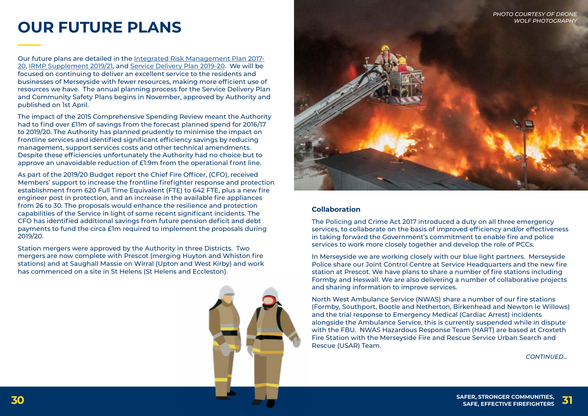**SAFER, STRONGER COMMUNITIES, 30 SAFE, EFFECTIVE FIREFIGHTERS 31**

# **OUR FUTURE PLANS**

Our future plans are detailed in the [Integrated Risk Management Plan 2017-](http://www.merseyfire.gov.uk/aspx/pages/IRMP/IRMP2017-20/IRMP2017.html) [20,](http://www.merseyfire.gov.uk/aspx/pages/IRMP/IRMP2017-20/IRMP2017.html) [IRMP Supplement 2019/21](http://www.merseyfire.gov.uk/aspx/pages/IRMP/pdf/IRMP_17_20_SUPPLEMENT_19_21.pdf), and [Service Delivery Plan 2019-20](http://www.merseyfire.gov.uk/aspx/pages/service_delivery/pdf/Service_Delivery_Plan_2019-20.pdf). We will be focused on continuing to deliver an excellent service to the residents and businesses of Merseyside with fewer resources, making more efficient use of resources we have. The annual planning process for the Service Delivery Plan and Community Safety Plans begins in November, approved by Authority and published on 1st April.

The impact of the 2015 Comprehensive Spending Review meant the Authority had to find over £11m of savings from the forecast planned spend for 2016/17 to 2019/20. The Authority has planned prudently to minimise the impact on frontline services and identified significant efficiency savings by reducing management, support services costs and other technical amendments. Despite these efficiencies unfortunately the Authority had no choice but to approve an unavoidable reduction of £1.9m from the operational front line.

As part of the 2019/20 Budget report the Chief Fire Officer, (CFO), received Members' support to increase the frontline firefighter response and protection establishment from 620 Full Time Equivalent (FTE) to 642 FTE, plus a new fire engineer post in protection, and an increase in the available fire appliances from 26 to 30. The proposals would enhance the resilience and protection capabilities of the Service in light of some recent significant incidents. The CFO has identified additional savings from future pension deficit and debt payments to fund the circa £1m required to implement the proposals during 2019/20.

Station mergers were approved by the Authority in three Districts. Two mergers are now complete with Prescot (merging Huyton and Whiston fire stations) and at Saughall Massie on Wirral (Upton and West Kirby) and work has commenced on a site in St Helens (St Helens and Eccleston).



*CONTINUED...*

#### **Collaboration**

The Policing and Crime Act 2017 introduced a duty on all three emergency services, to collaborate on the basis of improved efficiency and/or effectiveness in taking forward the Government's commitment to enable fire and police services to work more closely together and develop the role of PCCs.

In Merseyside we are working closely with our blue light partners. Merseyside Police share our Joint Control Centre at Service Headquarters and the new fire station at Prescot. We have plans to share a number of fire stations including Formby and Heswall. We are also delivering a number of collaborative projects and sharing information to improve services.

North West Ambulance Service (NWAS) share a number of our fire stations (Formby, Southport, Bootle and Netherton, Birkenhead and Newton le Willows) and the trial response to Emergency Medical (Cardiac Arrest) incidents alongside the Ambulance Service, this is currently suspended while in dispute with the FBU. NWAS Hazardous Response Team (HART) are based at Croxteth Fire Station with the Merseyside Fire and Rescue Service Urban Search and Rescue (USAR) Team.



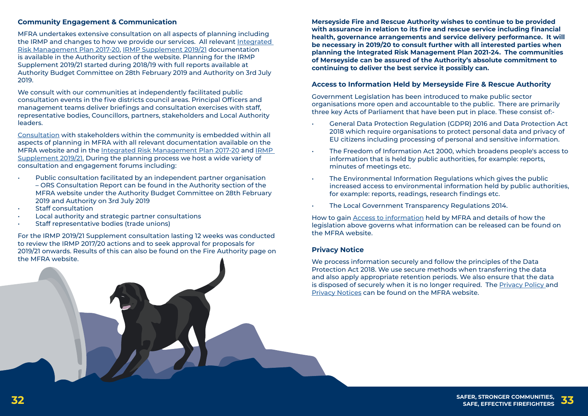**SAFER, STRONGER COMMUNITIES, 32 SAFE, EFFECTIVE FIREFIGHTERS 33**



#### **Community Engagement & Communication**

MFRA undertakes extensive consultation on all aspects of planning including the IRMP and changes to how we provide our services. All relevant [Integrated](http://www.merseyfire.gov.uk/aspx/pages/IRMP/IRMP2017-20/IRMP2017.html)  [Risk Management Plan 2017-20](http://www.merseyfire.gov.uk/aspx/pages/IRMP/IRMP2017-20/IRMP2017.html), [IRMP Supplement 2019/21](http://www.merseyfire.gov.uk/aspx/pages/IRMP/pdf/IRMP_17_20_SUPPLEMENT_19_21.pdf) documentation is available in the Authority section of the website. Planning for the IRMP Supplement 2019/21 started during 2018/19 with full reports available at Authority Budget Committee on 28th February 2019 and Authority on 3rd July 2019.

We consult with our communities at independently facilitated public consultation events in the five districts council areas. Principal Officers and management teams deliver briefings and consultation exercises with staff, representative bodies, Councillors, partners, stakeholders and Local Authority leaders.

- Public consultation facilitated by an independent partner organisation – ORS Consultation Report can be found in the Authority section of the MFRA website under the Authority Budget Committee on 28th February 2019 and Authority on 3rd July 2019
- Staff consultation
- Local authority and strategic partner consultations
- Staff representative bodies (trade unions)

[Consultation](http://www.merseyfire.gov.uk/aspx/pages/consultation/consultation.aspx) with stakeholders within the community is embedded within all aspects of planning in MFRA with all relevant documentation available on the MFRA website and in the [Integrated Risk Management Plan 2017-20](http://www.merseyfire.gov.uk/aspx/pages/IRMP/IRMP2017-20/IRMP2017.html) and [IRMP](http://www.merseyfire.gov.uk/aspx/pages/IRMP/pdf/IRMP_17_20_SUPPLEMENT_19_21.pdf)  [Supplement 2019/21.](http://www.merseyfire.gov.uk/aspx/pages/IRMP/pdf/IRMP_17_20_SUPPLEMENT_19_21.pdf) During the planning process we host a wide variety of consultation and engagement forums including:

For the IRMP 2019/21 Supplement consultation lasting 12 weeks was conducted to review the IRMP 2017/20 actions and to seek approval for proposals for 2019/21 onwards. Results of this can also be found on the Fire Authority page on the MFRA website.

**Merseyside Fire and Rescue Authority wishes to continue to be provided with assurance in relation to its fire and rescue service including financial health, governance arrangements and service delivery performance. It will be necessary in 2019/20 to consult further with all interested parties when planning the Integrated Risk Management Plan 2021-24. The communities of Merseyside can be assured of the Authority's absolute commitment to continuing to deliver the best service it possibly can.**

#### **Access to Information Held by Merseyside Fire & Rescue Authority**

Government Legislation has been introduced to make public sector organisations more open and accountable to the public. There are primarily three key Acts of Parliament that have been put in place. These consist of:-

• General Data Protection Regulation (GDPR) 2016 and Data Protection Act 2018 which require organisations to protect personal data and privacy of EU citizens including processing of personal and sensitive information.

• The Freedom of Information Act 2000, which broadens people's access to

- 
- information that is held by public authorities, for example: reports, minutes of meetings etc.
- The Environmental Information Regulations which gives the public for example: reports, readings, research findings etc.
- The Local Government Transparency Regulations 2014.

increased access to environmental information held by public authorities,

How to gain [Access to information](http://www.merseyfire.gov.uk/aspx/pages/corporate/Access-To-Information.aspx) held by MFRA and details of how the legislation above governs what information can be released can be found on the MFRA website.

#### **Privacy Notice**

We process information securely and follow the principles of the Data Protection Act 2018. We use secure methods when transferring the data and also apply appropriate retention periods. We also ensure that the data is disposed of securely when it is no longer required. The [Privacy Policy a](http://www.merseyfire.gov.uk/aspx/pages/footer/privacy_policy.aspx)nd [Privacy Notices](http://www.merseyfire.gov.uk/aspx/pages/corporate/Access-To-Information.aspx) can be found on the MFRA website.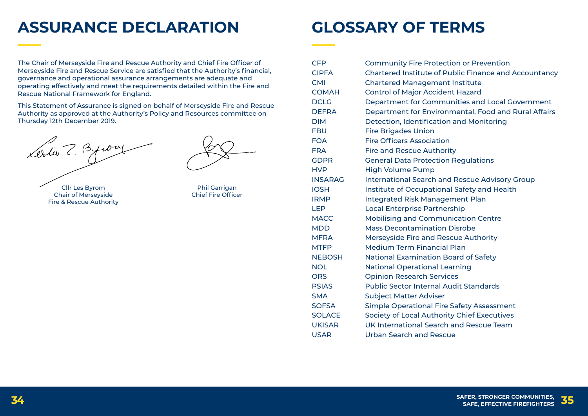**SAFER, STRONGER COMMUNITIES, 34 SAFE, EFFECTIVE FIREFIGHTERS 35**



# **GLOSSARY OF TERMS**

Cllr Les Byrom Chair of Merseyside Fire & Rescue Authority

The Chair of Merseyside Fire and Rescue Authority and Chief Fire Officer of Merseyside Fire and Rescue Service are satisfied that the Authority's financial, governance and operational assurance arrangements are adequate and operating effectively and meet the requirements detailed within the Fire and Rescue National Framework for England.

This Statement of Assurance is signed on behalf of Merseyside Fire and Rescue Authority as approved at the Authority's Policy and Resources committee on Thursday 12th December 2019.

Lestin 7. Byron

# **ASSURANCE DECLARATION**

CFP Community Fire Protection or Prevention CIPFA Chartered Institute of Public Finance and Accountancy CMI Chartered Management Institute COMAH Control of Major Accident Hazard DCLG Department for Communities and Local Government DEFRA Department for Environmental, Food and Rural Affairs DIM Detection, Identification and Monitoring FBU Fire Brigades Union FOA Fire Officers Association FRA Fire and Rescue Authority GDPR General Data Protection Regulations HVP High Volume Pump INSARAG International Search and Rescue Advisory Group IOSH Institute of Occupational Safety and Health IRMP Integrated Risk Management Plan LEP Local Enterprise Partnership MACC Mobilising and Communication Centre MDD Mass Decontamination Disrobe MFRA Merseyside Fire and Rescue Authority MTFP Medium Term Financial Plan NEBOSH National Examination Board of Safety NOL National Operational Learning ORS **Opinion Research Services** PSIAS Public Sector Internal Audit Standards SMA Subject Matter Adviser SOFSA Simple Operational Fire Safety Assessment SOLACE Society of Local Authority Chief Executives UKISAR UK International Search and Rescue Team USAR Urban Search and Rescue

Phil Garrigan Chief Fire Officer